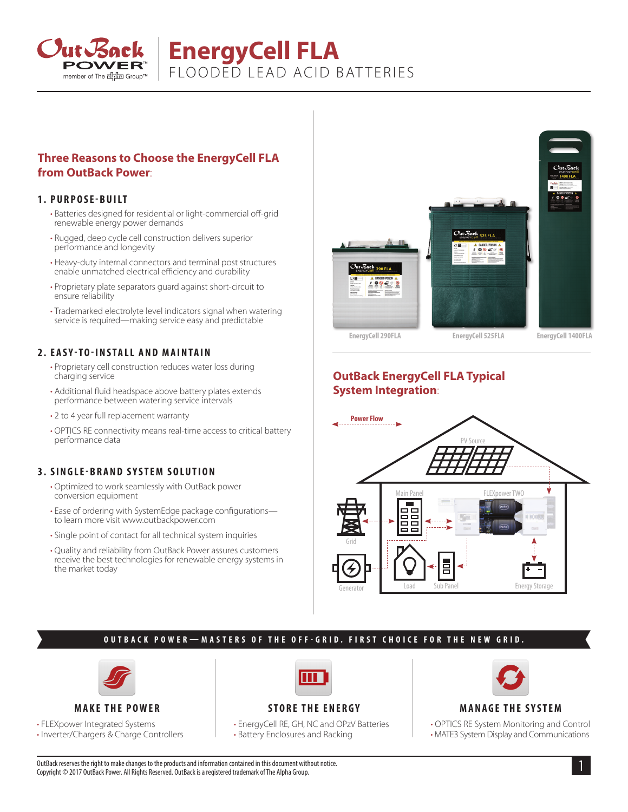

# **EnergyCell FLA** FLOODED LEAD ACID BAT TERIES

## **Three Reasons to Choose the EnergyCell FLA from OutBack Power**:

#### **1. PURPOSE-BUILT**

- Batteries designed for residential or light-commercial off-grid renewable energy power demands
- Rugged, deep cycle cell construction delivers superior performance and longevity
- Heavy-duty internal connectors and terminal post structures enable unmatched electrical efficiency and durability
- Proprietary plate separators guard against short-circuit to ensure reliability
- Trademarked electrolyte level indicators signal when watering service is required—making service easy and predictable

#### **2. EASY-TO-INSTALL AND MAINTAIN**

- Proprietary cell construction reduces water loss during charging service
- Additional fluid headspace above battery plates extends performance between watering service intervals
- 2 to 4 year full replacement warranty
- OPTICS RE connectivity means real-time access to critical battery performance data

## **3. SINGLE-BRAND SYSTEM SOLUTION**

- Optimized to work seamlessly with OutBack power conversion equipment
- Ease of ordering with SystemEdge package configurations to learn more visit www.outbackpower.com
- Single point of contact for all technical system inquiries
- Quality and reliability from OutBack Power assures customers receive the best technologies for renewable energy systems in the market today



# **OutBack EnergyCell FLA Typical System Integration**:



## **OUTBACK POWER—MASTERS OF THE OFF-GRID. FIRST CHOICE FOR THE NEW GRID.**



#### **MAKE THE POWER**

• FLEXpower Integrated Systems

• Inverter/Chargers & Charge Controllers



# **STORE THE ENERGY**

• EnergyCell RE, GH, NC and OPzV Batteries • Battery Enclosures and Racking



#### **MANAGE THE SYSTEM**

• OPTICS RE System Monitoring and Control • MATE3 System Display and Communications

1 OutBack reserves the right to make changes to the products and information contained in this document without notice. Copyright © 2017 OutBack Power. All Rights Reserved. OutBack is a registered trademark of The Alpha Group.